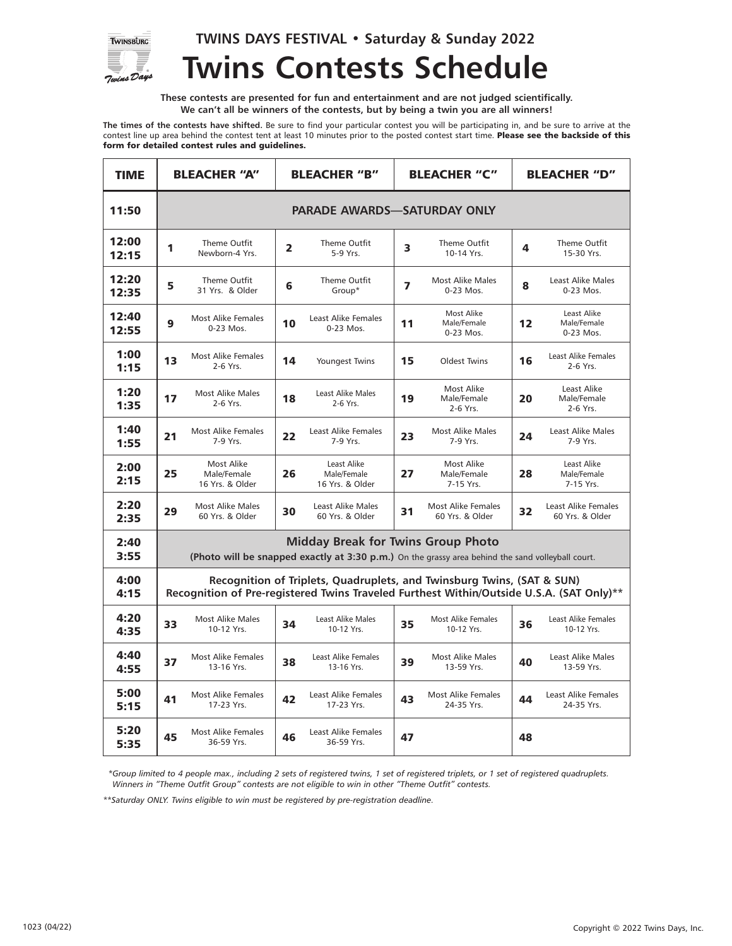

**TWINS DAYS FESTIVAL • Saturday & Sunday 2022**

## **Twins Contests Schedule**

**These contests are presented for fun and entertainment and are not judged scientifically. We can't all be winners of the contests, but by being a twin you are all winners!**

**The times of the contests have shifted.** Be sure to find your particular contest you will be participating in, and be sure to arrive at the contest line up area behind the contest tent at least 10 minutes prior to the posted contest start time. Please see the backside of this form for detailed contest rules and guidelines.

| <b>TIME</b>    | <b>BLEACHER "A"</b>                                                                                                                                                |                                              | <b>BLEACHER "B"</b> |                                               | <b>BLEACHER "C"</b> |                                              | <b>BLEACHER "D"</b> |                                         |
|----------------|--------------------------------------------------------------------------------------------------------------------------------------------------------------------|----------------------------------------------|---------------------|-----------------------------------------------|---------------------|----------------------------------------------|---------------------|-----------------------------------------|
| 11:50          | <b>PARADE AWARDS-SATURDAY ONLY</b>                                                                                                                                 |                                              |                     |                                               |                     |                                              |                     |                                         |
| 12:00<br>12:15 | 1                                                                                                                                                                  | Theme Outfit<br>Newborn-4 Yrs.               | $\overline{2}$      | Theme Outfit<br>5-9 Yrs.                      | 3                   | Theme Outfit<br>10-14 Yrs.                   | 4                   | Theme Outfit<br>15-30 Yrs.              |
| 12:20<br>12:35 | 5                                                                                                                                                                  | Theme Outfit<br>31 Yrs. & Older              | 6                   | Theme Outfit<br>Group*                        | 7                   | <b>Most Alike Males</b><br>0-23 Mos.         | 8                   | Least Alike Males<br>0-23 Mos.          |
| 12:40<br>12:55 | 9                                                                                                                                                                  | <b>Most Alike Females</b><br>0-23 Mos.       | 10                  | Least Alike Females<br>0-23 Mos.              | 11                  | Most Alike<br>Male/Female<br>0-23 Mos.       | 12                  | Least Alike<br>Male/Female<br>0-23 Mos. |
| 1:00<br>1:15   | 13                                                                                                                                                                 | <b>Most Alike Females</b><br>2-6 Yrs.        | 14                  | Youngest Twins                                | 15                  | <b>Oldest Twins</b>                          | 16                  | Least Alike Females<br>2-6 Yrs.         |
| 1:20<br>1:35   | 17                                                                                                                                                                 | <b>Most Alike Males</b><br>2-6 Yrs.          | 18                  | Least Alike Males<br>2-6 Yrs.                 | 19                  | Most Alike<br>Male/Female<br>2-6 Yrs.        | 20                  | Least Alike<br>Male/Female<br>2-6 Yrs.  |
| 1:40<br>1:55   | 21                                                                                                                                                                 | <b>Most Alike Females</b><br>7-9 Yrs.        | 22                  | Least Alike Females<br>7-9 Yrs.               | 23                  | <b>Most Alike Males</b><br>7-9 Yrs.          | 24                  | <b>Least Alike Males</b><br>7-9 Yrs.    |
| 2:00<br>2:15   | 25                                                                                                                                                                 | Most Alike<br>Male/Female<br>16 Yrs. & Older | 26                  | Least Alike<br>Male/Female<br>16 Yrs. & Older | 27                  | Most Alike<br>Male/Female<br>7-15 Yrs.       | 28                  | Least Alike<br>Male/Female<br>7-15 Yrs. |
| 2:20<br>2:35   | 29                                                                                                                                                                 | <b>Most Alike Males</b><br>60 Yrs. & Older   | 30                  | <b>Least Alike Males</b><br>60 Yrs. & Older   | 31                  | <b>Most Alike Females</b><br>60 Yrs. & Older | 32                  | Least Alike Females<br>60 Yrs. & Older  |
| 2:40<br>3:55   | <b>Midday Break for Twins Group Photo</b><br>(Photo will be snapped exactly at 3:30 p.m.) On the grassy area behind the sand volleyball court.                     |                                              |                     |                                               |                     |                                              |                     |                                         |
| 4:00<br>4:15   | Recognition of Triplets, Quadruplets, and Twinsburg Twins, (SAT & SUN)<br>Recognition of Pre-registered Twins Traveled Furthest Within/Outside U.S.A. (SAT Only)** |                                              |                     |                                               |                     |                                              |                     |                                         |
| 4:20<br>4:35   | 33                                                                                                                                                                 | <b>Most Alike Males</b><br>10-12 Yrs.        | 34                  | Least Alike Males<br>10-12 Yrs.               | 35                  | Most Alike Females<br>10-12 Yrs.             | 36                  | Least Alike Females<br>10-12 Yrs.       |
| 4:40<br>4:55   | 37                                                                                                                                                                 | <b>Most Alike Females</b><br>13-16 Yrs.      | 38                  | <b>Least Alike Females</b><br>13-16 Yrs.      | 39                  | <b>Most Alike Males</b><br>13-59 Yrs.        | 40                  | <b>Least Alike Males</b><br>13-59 Yrs.  |
| 5:00<br>5:15   | 41                                                                                                                                                                 | <b>Most Alike Females</b><br>17-23 Yrs.      | 42                  | Least Alike Females<br>17-23 Yrs.             | 43                  | <b>Most Alike Females</b><br>24-35 Yrs.      | 44                  | Least Alike Females<br>24-35 Yrs.       |
| 5:20<br>5:35   | 45                                                                                                                                                                 | <b>Most Alike Females</b><br>36-59 Yrs.      | 46                  | Least Alike Females<br>36-59 Yrs.             | 47                  |                                              | 48                  |                                         |

 *\*Group limited to 4 people max., including 2 sets of registered twins, 1 set of registered triplets, or 1 set of registered quadruplets. Winners in "Theme Outfit Group" contests are not eligible to win in other "Theme Outfit" contests.*

*\*\*Saturday ONLY. Twins eligible to win must be registered by pre-registration deadline.*